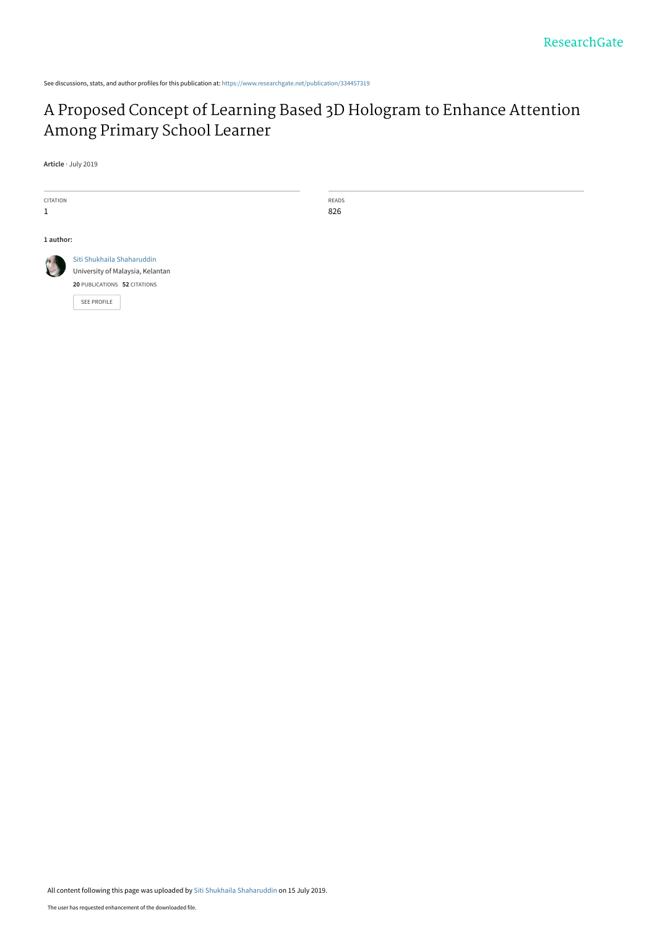See discussions, stats, and author profiles for this publication at: [https://www.researchgate.net/publication/334457319](https://www.researchgate.net/publication/334457319_A_Proposed_Concept_of_Learning_Based_3D_Hologram_to_Enhance_Attention_Among_Primary_School_Learner?enrichId=rgreq-36c9a077fe4ffe907ae769219c6e29ee-XXX&enrichSource=Y292ZXJQYWdlOzMzNDQ1NzMxOTtBUzo3ODA5MTg1NDU0NDg5NjBAMTU2MzE5Njg5ODE3NQ%3D%3D&el=1_x_2&_esc=publicationCoverPdf)

# [A Proposed Concept of Learning Based 3D Hologram to Enhance Attention](https://www.researchgate.net/publication/334457319_A_Proposed_Concept_of_Learning_Based_3D_Hologram_to_Enhance_Attention_Among_Primary_School_Learner?enrichId=rgreq-36c9a077fe4ffe907ae769219c6e29ee-XXX&enrichSource=Y292ZXJQYWdlOzMzNDQ1NzMxOTtBUzo3ODA5MTg1NDU0NDg5NjBAMTU2MzE5Njg5ODE3NQ%3D%3D&el=1_x_3&_esc=publicationCoverPdf) Among Primary School Learner

READS 826

**Article** · July 2019

| <b>CITATION</b><br>1 |                                                                                                                      |
|----------------------|----------------------------------------------------------------------------------------------------------------------|
| 1 author:            |                                                                                                                      |
|                      | Siti Shukhaila Shaharuddin<br>University of Malaysia, Kelantan<br>20 PUBLICATIONS 52 CITATIONS<br><b>SEE PROFILE</b> |

All content following this page was uploaded by [Siti Shukhaila Shaharuddin](https://www.researchgate.net/profile/Siti-Shaharuddin?enrichId=rgreq-36c9a077fe4ffe907ae769219c6e29ee-XXX&enrichSource=Y292ZXJQYWdlOzMzNDQ1NzMxOTtBUzo3ODA5MTg1NDU0NDg5NjBAMTU2MzE5Njg5ODE3NQ%3D%3D&el=1_x_10&_esc=publicationCoverPdf) on 15 July 2019.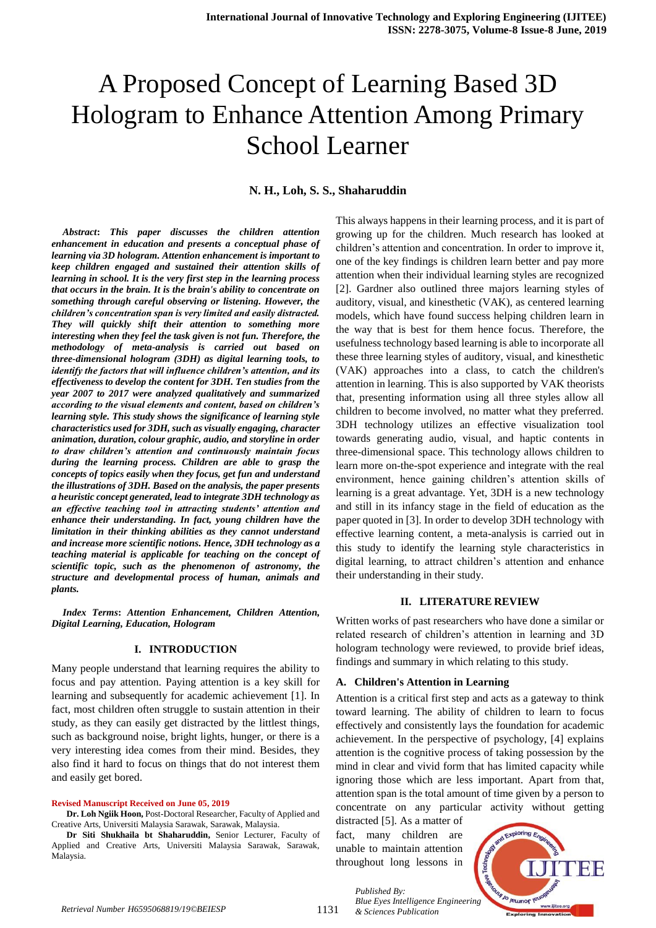# A Proposed Concept of Learning Based 3D Hologram to Enhance Attention Among Primary School Learner

# **N. H., Loh, S. S., Shaharuddin**

*Abstract***:** *This paper discusses the children attention enhancement in education and presents a conceptual phase of learning via 3D hologram. Attention enhancement is important to keep children engaged and sustained their attention skills of learning in school. It is the very first step in the learning process that occurs in the brain. It is the brain's ability to concentrate on something through careful observing or listening. However, the children's concentration span is very limited and easily distracted. They will quickly shift their attention to something more interesting when they feel the task given is not fun. Therefore, the methodology of meta-analysis is carried out based on three-dimensional hologram (3DH) as digital learning tools, to identify the factors that will influence children's attention, and its effectiveness to develop the content for 3DH. Ten studies from the year 2007 to 2017 were analyzed qualitatively and summarized according to the visual elements and content, based on children's learning style. This study shows the significance of learning style characteristics used for 3DH, such as visually engaging, character animation, duration, colour graphic, audio, and storyline in order to draw children's attention and continuously maintain focus during the learning process. Children are able to grasp the concepts of topics easily when they focus, get fun and understand the illustrations of 3DH. Based on the analysis, the paper presents a heuristic concept generated, lead to integrate 3DH technology as an effective teaching tool in attracting students' attention and enhance their understanding. In fact, young children have the limitation in their thinking abilities as they cannot understand and increase more scientific notions. Hence, 3DH technology as a teaching material is applicable for teaching on the concept of scientific topic, such as the phenomenon of astronomy, the structure and developmental process of human, animals and plants.*

*Index Terms***:** *Attention Enhancement, Children Attention, Digital Learning, Education, Hologram*

#### **I. INTRODUCTION**

Many people understand that learning requires the ability to focus and pay attention. Paying attention is a key skill for learning and subsequently for academic achievement [1]. In fact, most children often struggle to sustain attention in their study, as they can easily get distracted by the littlest things, such as background noise, bright lights, hunger, or there is a very interesting idea comes from their mind. Besides, they also find it hard to focus on things that do not interest them and easily get bored.

#### **Revised Manuscript Received on June 05, 2019**

**Dr. Loh Ngiik Hoon,** Post-Doctoral Researcher, Faculty of Applied and Creative Arts, Universiti Malaysia Sarawak, Sarawak, Malaysia.

**Dr Siti Shukhaila bt Shaharuddin,** Senior Lecturer, Faculty of Applied and Creative Arts, Universiti Malaysia Sarawak, Sarawak, Malaysia.

This always happens in their learning process, and it is part of growing up for the children. Much research has looked at children's attention and concentration. In order to improve it, one of the key findings is children learn better and pay more attention when their individual learning styles are recognized [2]. Gardner also outlined three majors learning styles of auditory, visual, and kinesthetic (VAK), as centered learning models, which have found success helping children learn in the way that is best for them hence focus. Therefore, the usefulness technology based learning is able to incorporate all these three learning styles of auditory, visual, and kinesthetic (VAK) approaches into a class, to catch the children's attention in learning. This is also supported by VAK theorists that, presenting information using all three styles allow all children to become involved, no matter what they preferred. 3DH technology utilizes an effective visualization tool towards generating audio, visual, and haptic contents in three-dimensional space. This technology allows children to learn more on-the-spot experience and integrate with the real environment, hence gaining children's attention skills of learning is a great advantage. Yet, 3DH is a new technology and still in its infancy stage in the field of education as the paper quoted in [3]. In order to develop 3DH technology with effective learning content, a meta-analysis is carried out in this study to identify the learning style characteristics in digital learning, to attract children's attention and enhance their understanding in their study.

#### **II. LITERATURE REVIEW**

Written works of past researchers who have done a similar or related research of children's attention in learning and 3D hologram technology were reviewed, to provide brief ideas, findings and summary in which relating to this study.

#### **A. Children's Attention in Learning**

Attention is a critical first step and acts as a gateway to think toward learning. The ability of children to learn to focus effectively and consistently lays the foundation for academic achievement. In the perspective of psychology, [4] explains attention is the cognitive process of taking possession by the mind in clear and vivid form that has limited capacity while ignoring those which are less important. Apart from that, attention span is the total amount of time given by a person to concentrate on any particular activity without getting

distracted [5]. As a matter of fact, many children are unable to maintain attention throughout long lessons in

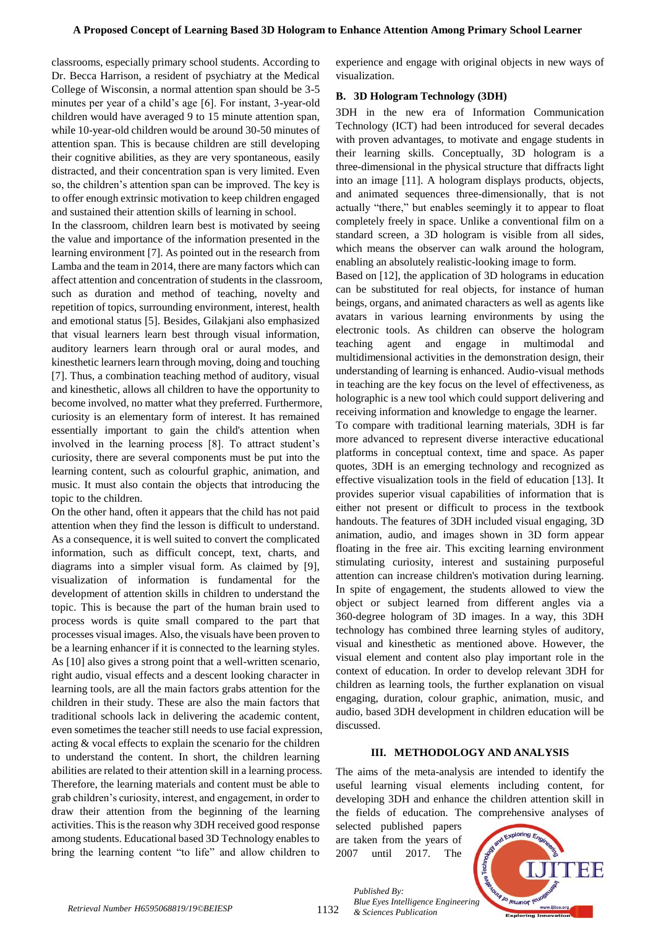classrooms, especially primary school students. According to Dr. Becca Harrison, a resident of psychiatry at the Medical College of Wisconsin, a normal attention span should be 3-5 minutes per year of a child's age [6]. For instant, 3-year-old children would have averaged 9 to 15 minute attention span, while 10-year-old children would be around 30-50 minutes of attention span. This is because children are still developing their cognitive abilities, as they are very spontaneous, easily distracted, and their concentration span is very limited. Even so, the children's attention span can be improved. The key is to offer enough extrinsic motivation to keep children engaged and sustained their attention skills of learning in school.

In the classroom, children learn best is motivated by seeing the value and importance of the information presented in the learning environment [7]. As pointed out in the research from Lamba and the team in 2014, there are many factors which can affect attention and concentration of students in the classroom, such as duration and method of teaching, novelty and repetition of topics, surrounding environment, interest, health and emotional status [5]. Besides, Gilakjani also emphasized that visual learners learn best through visual information, auditory learners learn through oral or aural modes, and kinesthetic learners learn through moving, doing and touching [7]. Thus, a combination teaching method of auditory, visual and kinesthetic, allows all children to have the opportunity to become involved, no matter what they preferred. Furthermore, curiosity is an elementary form of interest. It has remained essentially important to gain the child's attention when involved in the learning process [8]. To attract student's curiosity, there are several components must be put into the learning content, such as colourful graphic, animation, and music. It must also contain the objects that introducing the topic to the children.

On the other hand, often it appears that the child has not paid attention when they find the lesson is difficult to understand. As a consequence, it is well suited to convert the complicated information, such as difficult concept, text, charts, and diagrams into a simpler visual form. As claimed by [9], visualization of information is fundamental for the development of attention skills in children to understand the topic. This is because the part of the human brain used to process words is quite small compared to the part that processes visual images. Also, the visuals have been proven to be a learning enhancer if it is connected to the learning styles. As [10] also gives a strong point that a well-written scenario, right audio, visual effects and a descent looking character in learning tools, are all the main factors grabs attention for the children in their study. These are also the main factors that traditional schools lack in delivering the academic content, even sometimes the teacher still needs to use facial expression, acting & vocal effects to explain the scenario for the children to understand the content. In short, the children learning abilities are related to their attention skill in a learning process. Therefore, the learning materials and content must be able to grab children's curiosity, interest, and engagement, in order to draw their attention from the beginning of the learning activities. This is the reason why 3DH received good response among students. Educational based 3D Technology enables to bring the learning content "to life" and allow children to

experience and engage with original objects in new ways of visualization.

#### **B. 3D Hologram Technology (3DH)**

3DH in the new era of Information Communication Technology (ICT) had been introduced for several decades with proven advantages, to motivate and engage students in their learning skills. Conceptually, 3D hologram is a three-dimensional in the physical structure that diffracts light into an image [11]. A hologram displays products, objects, and animated sequences three-dimensionally, that is not actually "there," but enables seemingly it to appear to float completely freely in space. Unlike a conventional film on a standard screen, a 3D hologram is visible from all sides, which means the observer can walk around the hologram, enabling an absolutely realistic-looking image to form.

Based on [12], the application of 3D holograms in education can be substituted for real objects, for instance of human beings, organs, and animated characters as well as agents like avatars in various learning environments by using the electronic tools. As children can observe the hologram teaching agent and engage in multimodal and multidimensional activities in the demonstration design, their understanding of learning is enhanced. Audio-visual methods in teaching are the key focus on the level of effectiveness, as holographic is a new tool which could support delivering and receiving information and knowledge to engage the learner.

To compare with traditional learning materials, 3DH is far more advanced to represent diverse interactive educational platforms in conceptual context, time and space. As paper quotes, 3DH is an emerging technology and recognized as effective visualization tools in the field of education [13]. It provides superior visual capabilities of information that is either not present or difficult to process in the textbook handouts. The features of 3DH included visual engaging, 3D animation, audio, and images shown in 3D form appear floating in the free air. This exciting learning environment stimulating curiosity, interest and sustaining purposeful attention can increase children's motivation during learning. In spite of engagement, the students allowed to view the object or subject learned from different angles via a 360-degree hologram of 3D images. In a way, this 3DH technology has combined three learning styles of auditory, visual and kinesthetic as mentioned above. However, the visual element and content also play important role in the context of education. In order to develop relevant 3DH for children as learning tools, the further explanation on visual engaging, duration, colour graphic, animation, music, and audio, based 3DH development in children education will be discussed.

## **III. METHODOLOGY AND ANALYSIS**

The aims of the meta-analysis are intended to identify the useful learning visual elements including content, for developing 3DH and enhance the children attention skill in the fields of education. The comprehensive analyses of

selected published papers are taken from the years of 2007 until 2017. The

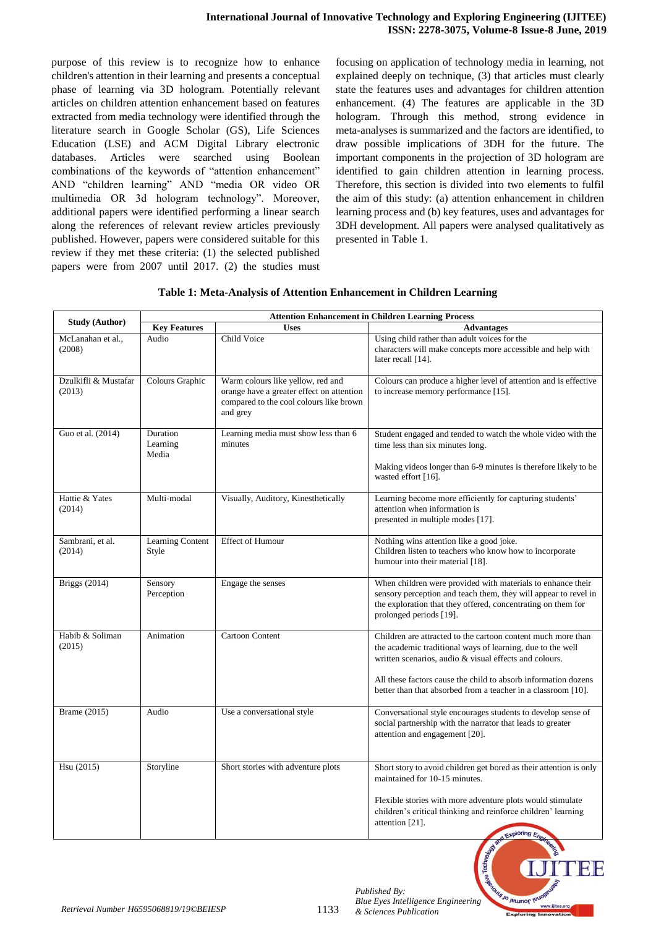purpose of this review is to recognize how to enhance children's attention in their learning and presents a conceptual phase of learning via 3D hologram. Potentially relevant articles on children attention enhancement based on features extracted from media technology were identified through the literature search in Google Scholar (GS), Life Sciences Education (LSE) and ACM Digital Library electronic databases. Articles were searched using Boolean combinations of the keywords of "attention enhancement" AND "children learning" AND "media OR video OR multimedia OR 3d hologram technology". Moreover, additional papers were identified performing a linear search along the references of relevant review articles previously published. However, papers were considered suitable for this review if they met these criteria: (1) the selected published papers were from 2007 until 2017. (2) the studies must focusing on application of technology media in learning, not explained deeply on technique, (3) that articles must clearly state the features uses and advantages for children attention enhancement. (4) The features are applicable in the 3D hologram. Through this method, strong evidence in meta-analyses is summarized and the factors are identified, to draw possible implications of 3DH for the future. The important components in the projection of 3D hologram are identified to gain children attention in learning process. Therefore, this section is divided into two elements to fulfil the aim of this study: (a) attention enhancement in children learning process and (b) key features, uses and advantages for 3DH development. All papers were analysed qualitatively as presented in Table 1.

# **Table 1: Meta-Analysis of Attention Enhancement in Children Learning**

| <b>Study (Author)</b>          | <b>Attention Enhancement in Children Learning Process</b> |                                                                                                                                       |                                                                                                                                                                                                                           |  |
|--------------------------------|-----------------------------------------------------------|---------------------------------------------------------------------------------------------------------------------------------------|---------------------------------------------------------------------------------------------------------------------------------------------------------------------------------------------------------------------------|--|
|                                | <b>Key Features</b>                                       | <b>Uses</b>                                                                                                                           | <b>Advantages</b>                                                                                                                                                                                                         |  |
| McLanahan et al.,<br>(2008)    | Audio                                                     | Child Voice                                                                                                                           | Using child rather than adult voices for the<br>characters will make concepts more accessible and help with<br>later recall [14].                                                                                         |  |
| Dzulkifli & Mustafar<br>(2013) | Colours Graphic                                           | Warm colours like yellow, red and<br>orange have a greater effect on attention<br>compared to the cool colours like brown<br>and grey | Colours can produce a higher level of attention and is effective<br>to increase memory performance [15].                                                                                                                  |  |
| Guo et al. (2014)              | Duration<br>Learning<br>Media                             | Learning media must show less than 6<br>minutes                                                                                       | Student engaged and tended to watch the whole video with the<br>time less than six minutes long.<br>Making videos longer than 6-9 minutes is therefore likely to be                                                       |  |
|                                |                                                           |                                                                                                                                       | wasted effort [16].                                                                                                                                                                                                       |  |
| Hattie & Yates<br>(2014)       | Multi-modal                                               | Visually, Auditory, Kinesthetically                                                                                                   | Learning become more efficiently for capturing students'<br>attention when information is<br>presented in multiple modes [17].                                                                                            |  |
| Sambrani, et al.<br>(2014)     | Learning Content<br>Style                                 | <b>Effect of Humour</b>                                                                                                               | Nothing wins attention like a good joke.<br>Children listen to teachers who know how to incorporate<br>humour into their material [18].                                                                                   |  |
| <b>Briggs</b> (2014)           | Sensory<br>Perception                                     | Engage the senses                                                                                                                     | When children were provided with materials to enhance their<br>sensory perception and teach them, they will appear to revel in<br>the exploration that they offered, concentrating on them for<br>prolonged periods [19]. |  |
| Habib & Soliman<br>(2015)      | Animation                                                 | <b>Cartoon Content</b>                                                                                                                | Children are attracted to the cartoon content much more than<br>the academic traditional ways of learning, due to the well<br>written scenarios, audio & visual effects and colours.                                      |  |
|                                |                                                           |                                                                                                                                       | All these factors cause the child to absorb information dozens<br>better than that absorbed from a teacher in a classroom [10].                                                                                           |  |
| Brame (2015)                   | Audio                                                     | Use a conversational style                                                                                                            | Conversational style encourages students to develop sense of<br>social partnership with the narrator that leads to greater<br>attention and engagement [20].                                                              |  |
| Hsu (2015)                     | Storyline                                                 | Short stories with adventure plots                                                                                                    | Short story to avoid children get bored as their attention is only<br>maintained for 10-15 minutes.                                                                                                                       |  |
|                                |                                                           |                                                                                                                                       | Flexible stories with more adventure plots would stimulate<br>children's critical thinking and reinforce children' learning<br>attention [21].<br>Exploring Engine                                                        |  |

*Published By: Blue Eyes Intelligence Engineering* 

Jo reumor l'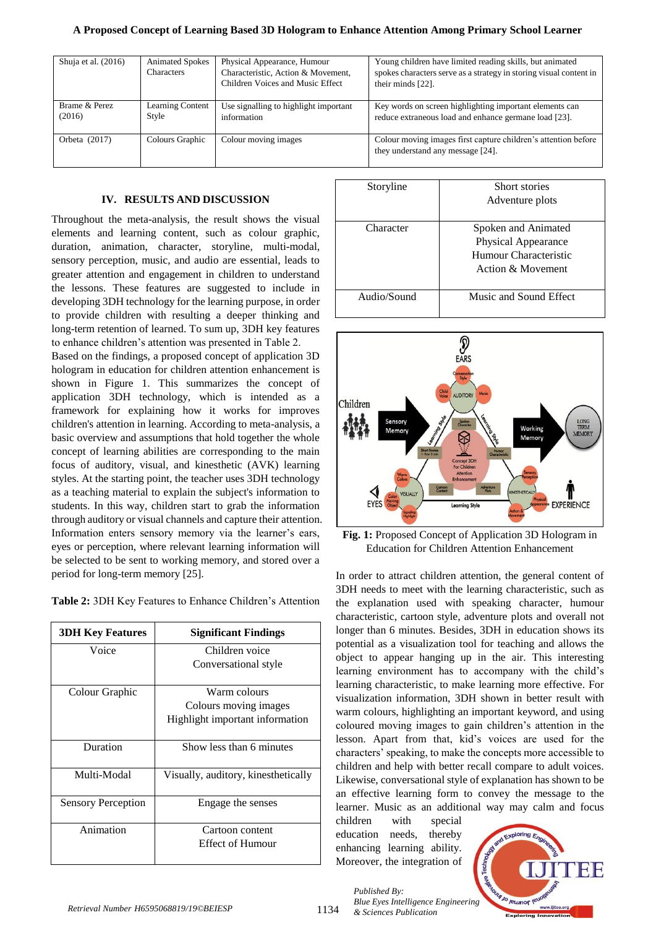#### **A Proposed Concept of Learning Based 3D Hologram to Enhance Attention Among Primary School Learner**

| Shuja et al. $(2016)$   | <b>Animated Spokes</b><br><b>Characters</b> | Physical Appearance, Humour<br>Characteristic, Action & Movement,<br>Children Voices and Music Effect | Young children have limited reading skills, but animated<br>spokes characters serve as a strategy in storing visual content in<br>their minds [22]. |
|-------------------------|---------------------------------------------|-------------------------------------------------------------------------------------------------------|-----------------------------------------------------------------------------------------------------------------------------------------------------|
| Brame & Perez<br>(2016) | <b>Learning Content</b><br>Style            | Use signalling to highlight important<br>information                                                  | Key words on screen highlighting important elements can<br>reduce extraneous load and enhance germane load [23].                                    |
| Orbeta $(2017)$         | Colours Graphic                             | Colour moving images                                                                                  | Colour moving images first capture children's attention before<br>they understand any message [24].                                                 |

#### **IV. RESULTS AND DISCUSSION**

Throughout the meta-analysis, the result shows the visual elements and learning content, such as colour graphic, duration, animation, character, storyline, multi-modal, sensory perception, music, and audio are essential, leads to greater attention and engagement in children to understand the lessons. These features are suggested to include in developing 3DH technology for the learning purpose, in order to provide children with resulting a deeper thinking and long-term retention of learned. To sum up, 3DH key features to enhance children's attention was presented in Table 2.

Based on the findings, a proposed concept of application 3D hologram in education for children attention enhancement is shown in Figure 1. This summarizes the concept of application 3DH technology, which is intended as a framework for explaining how it works for improves children's attention in learning. According to meta-analysis, a basic overview and assumptions that hold together the whole concept of learning abilities are corresponding to the main focus of auditory, visual, and kinesthetic (AVK) learning styles. At the starting point, the teacher uses 3DH technology as a teaching material to explain the subject's information to students. In this way, children start to grab the information through auditory or visual channels and capture their attention. Information enters sensory memory via the learner's ears, eyes or perception, where relevant learning information will be selected to be sent to working memory, and stored over a period for long-term memory [25].

**Table 2:** 3DH Key Features to Enhance Children's Attention

| <b>3DH Key Features</b>   | <b>Significant Findings</b>         |
|---------------------------|-------------------------------------|
| Voice                     | Children voice                      |
|                           | Conversational style                |
| Colour Graphic            | Warm colours                        |
|                           | Colours moving images               |
|                           | Highlight important information     |
| Duration                  | Show less than 6 minutes            |
| Multi-Modal               | Visually, auditory, kinesthetically |
| <b>Sensory Perception</b> | Engage the senses                   |
| Animation                 | Cartoon content                     |
|                           | Effect of Humour                    |

| Storyline   | Short stories              |
|-------------|----------------------------|
|             | Adventure plots            |
|             |                            |
| Character   | Spoken and Animated        |
|             | <b>Physical Appearance</b> |
|             | Humour Characteristic      |
|             | Action & Movement          |
|             |                            |
| Audio/Sound | Music and Sound Effect     |
|             |                            |



**Fig. 1:** Proposed Concept of Application 3D Hologram in Education for Children Attention Enhancement

In order to attract children attention, the general content of 3DH needs to meet with the learning characteristic, such as the explanation used with speaking character, humour characteristic, cartoon style, adventure plots and overall not longer than 6 minutes. Besides, 3DH in education shows its potential as a visualization tool for teaching and allows the object to appear hanging up in the air. This interesting learning environment has to accompany with the child's learning characteristic, to make learning more effective. For visualization information, 3DH shown in better result with warm colours, highlighting an important keyword, and using coloured moving images to gain children's attention in the lesson. Apart from that, kid's voices are used for the characters' speaking, to make the concepts more accessible to children and help with better recall compare to adult voices. Likewise, conversational style of explanation has shown to be an effective learning form to convey the message to the learner. Music as an additional way may calm and focus

children with special education needs, thereby enhancing learning ability. Moreover, the integration of

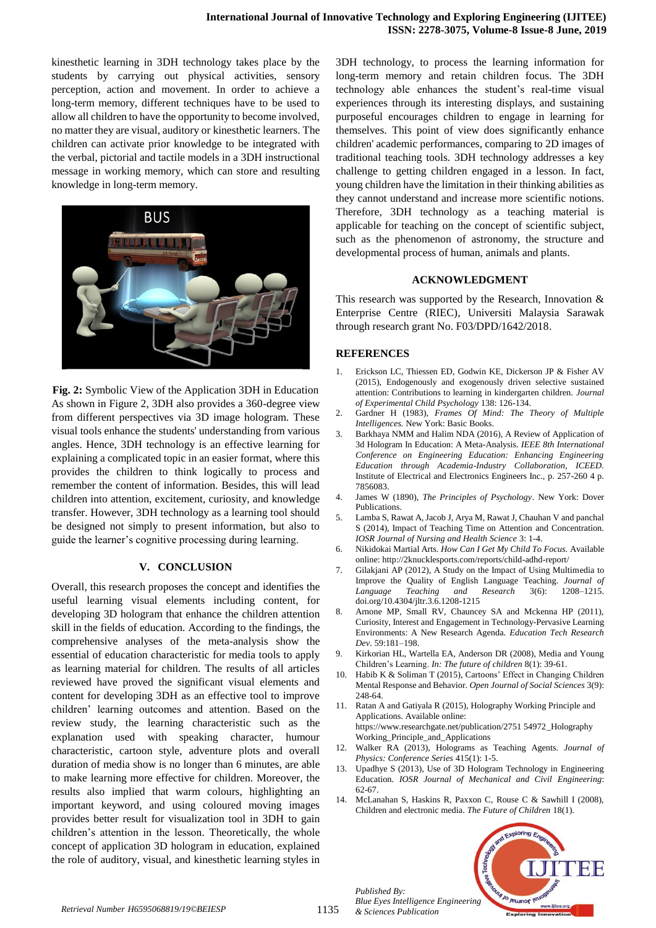kinesthetic learning in 3DH technology takes place by the students by carrying out physical activities, sensory perception, action and movement. In order to achieve a long-term memory, different techniques have to be used to allow all children to have the opportunity to become involved, no matter they are visual, auditory or kinesthetic learners. The children can activate prior knowledge to be integrated with the verbal, pictorial and tactile models in a 3DH instructional message in working memory, which can store and resulting knowledge in long-term memory.



**Fig. 2:** Symbolic View of the Application 3DH in Education As shown in Figure 2, 3DH also provides a 360-degree view from different perspectives via 3D image hologram. These visual tools enhance the students' understanding from various angles. Hence, 3DH technology is an effective learning for explaining a complicated topic in an easier format, where this provides the children to think logically to process and remember the content of information. Besides, this will lead children into attention, excitement, curiosity, and knowledge transfer. However, 3DH technology as a learning tool should be designed not simply to present information, but also to guide the learner's cognitive processing during learning.

#### **V. CONCLUSION**

Overall, this research proposes the concept and identifies the useful learning visual elements including content, for developing 3D hologram that enhance the children attention skill in the fields of education. According to the findings, the comprehensive analyses of the meta-analysis show the essential of education characteristic for media tools to apply as learning material for children. The results of all articles reviewed have proved the significant visual elements and content for developing 3DH as an effective tool to improve children' learning outcomes and attention. Based on the review study, the learning characteristic such as the explanation used with speaking character, humour characteristic, cartoon style, adventure plots and overall duration of media show is no longer than 6 minutes, are able to make learning more effective for children. Moreover, the results also implied that warm colours, highlighting an important keyword, and using coloured moving images provides better result for visualization tool in 3DH to gain children's attention in the lesson. Theoretically, the whole concept of application 3D hologram in education, explained the role of auditory, visual, and kinesthetic learning styles in

3DH technology, to process the learning information for long-term memory and retain children focus. The 3DH technology able enhances the student's real-time visual experiences through its interesting displays, and sustaining purposeful encourages children to engage in learning for themselves. This point of view does significantly enhance children' academic performances, comparing to 2D images of traditional teaching tools. 3DH technology addresses a key challenge to getting children engaged in a lesson. In fact, young children have the limitation in their thinking abilities as they cannot understand and increase more scientific notions. Therefore, 3DH technology as a teaching material is applicable for teaching on the concept of scientific subject, such as the phenomenon of astronomy, the structure and developmental process of human, animals and plants.

## **ACKNOWLEDGMENT**

This research was supported by the Research, Innovation & Enterprise Centre (RIEC), Universiti Malaysia Sarawak through research grant No. F03/DPD/1642/2018.

## **REFERENCES**

- 1. Erickson LC, Thiessen ED, Godwin KE, Dickerson JP & Fisher AV (2015), Endogenously and exogenously driven selective sustained attention: Contributions to learning in kindergarten children. *Journal of Experimental Child Psychology* 138: 126-134.
- 2. Gardner H (1983), *Frames Of Mind: The Theory of Multiple Intelligences.* New York: Basic Books.
- 3. Barkhaya NMM and Halim NDA (2016), A Review of Application of 3d Hologram In Education: A Meta-Analysis. *IEEE 8th International Conference on Engineering Education: Enhancing Engineering Education through Academia-Industry Collaboration, ICEED.*  Institute of Electrical and Electronics Engineers Inc., p. 257-260 4 p. 7856083.
- 4. James W (1890), *The Principles of Psychology*. New York: Dover Publications.
- 5. Lamba S, Rawat A, Jacob J, Arya M, Rawat J, Chauhan V and panchal S (2014), Impact of Teaching Time on Attention and Concentration. *IOSR Journal of Nursing and Health Science* 3: 1-4.
- 6. Nikidokai Martial Arts. *How Can I Get My Child To Focus.* Available online: http://2knucklesports.com/reports/child-adhd-report/
- 7. Gilakjani AP (2012), A Study on the Impact of Using Multimedia to Improve the Quality of English Language Teaching*. Journal of Language Teaching and Research* 3(6): 1208–1215. doi.org/10.4304/jltr.3.6.1208-1215
- 8. Arnone MP, Small RV, Chauncey SA and Mckenna HP (2011), Curiosity, Interest and Engagement in Technology-Pervasive Learning Environments: A New Research Agenda. *Education Tech Research Dev*. 59:181–198.
- 9. Kirkorian HL, Wartella EA, Anderson DR (2008), Media and Young Children's Learning. *In: The future of children* 8(1): 39-61.
- 10. Habib K & Soliman T (2015), Cartoons' Effect in Changing Children Mental Response and Behavior. *Open Journal of Social Sciences* 3(9): 248-64.
- 11. Ratan A and Gatiyala R (2015), Holography Working Principle and Applications. Available online: https://www.researchgate.net/publication/2751 54972\_Holography Working\_Principle\_and\_Applications
- 12. Walker RA (2013), Holograms as Teaching Agents*. Journal of Physics: Conference Series* 415(1): 1-5.
- 13. Upadhye S (2013), Use of 3D Hologram Technology in Engineering Education. *IOSR Journal of Mechanical and Civil Engineering*: 62-67.
- 14. McLanahan S, Haskins R, Paxxon C, Rouse C & Sawhill I (2008), Children and electronic media. *The Future of Children* 18(1).



*Retrieval Number H6595068819/19©BEIESP* 1135 & Sciences Publication